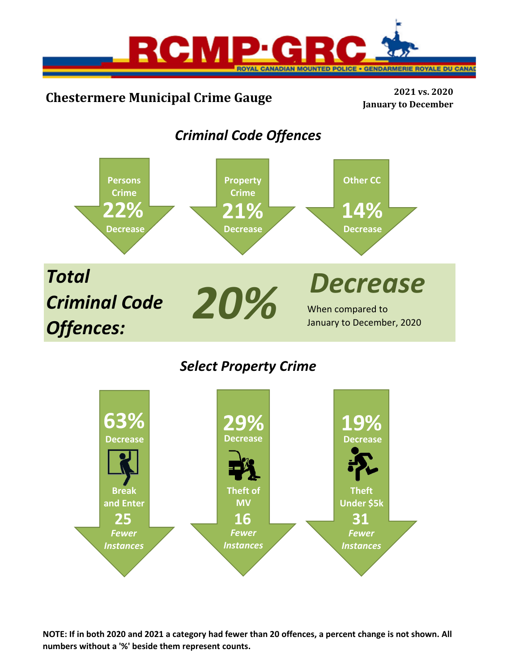

# **Chestermere Municipal Crime Gauge <sup>2021</sup> vs. <sup>2020</sup>**

**January to December**

## *Criminal Code Offences*



## *Select Property Crime*



NOTE: If in both 2020 and 2021 a category had fewer than 20 offences, a percent change is not shown. All **numbers without a '%' beside them represent counts.**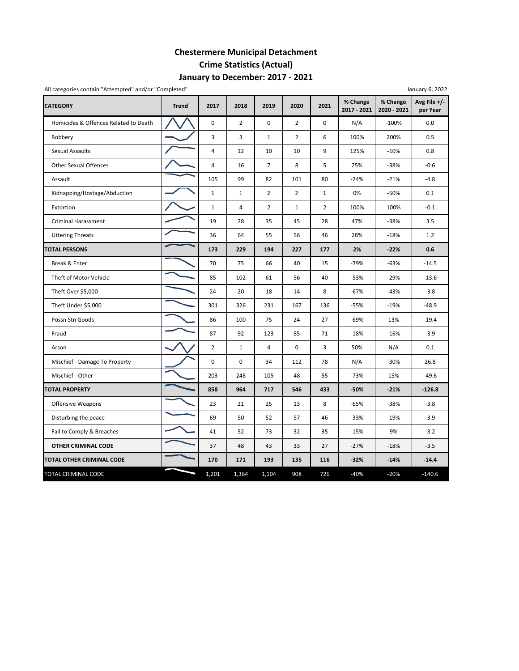## **Chestermere Municipal Detachment Crime Statistics (Actual) January to December: 2017 ‐ 2021**

| All categories contain "Attempted" and/or "Completed" |              |                |                |                |                |                |                         |                         | January 6, 2022          |
|-------------------------------------------------------|--------------|----------------|----------------|----------------|----------------|----------------|-------------------------|-------------------------|--------------------------|
| <b>CATEGORY</b>                                       | <b>Trend</b> | 2017           | 2018           | 2019           | 2020           | 2021           | % Change<br>2017 - 2021 | % Change<br>2020 - 2021 | Avg File +/-<br>per Year |
| Homicides & Offences Related to Death                 |              | 0              | $\overline{2}$ | 0              | $\overline{2}$ | 0              | N/A                     | $-100%$                 | 0.0                      |
| Robbery                                               |              | 3              | 3              | $\mathbf{1}$   | $\overline{2}$ | 6              | 100%                    | 200%                    | 0.5                      |
| Sexual Assaults                                       |              | 4              | 12             | 10             | 10             | 9              | 125%                    | $-10%$                  | 0.8                      |
| <b>Other Sexual Offences</b>                          |              | 4              | 16             | $\overline{7}$ | 8              | 5              | 25%                     | $-38%$                  | $-0.6$                   |
| Assault                                               |              | 105            | 99             | 82             | 101            | 80             | $-24%$                  | $-21%$                  | $-4.8$                   |
| Kidnapping/Hostage/Abduction                          |              | $\mathbf{1}$   | $\mathbf{1}$   | $\overline{2}$ | $\overline{2}$ | $\mathbf{1}$   | 0%                      | $-50%$                  | 0.1                      |
| Extortion                                             |              | $\mathbf 1$    | $\overline{4}$ | $\overline{2}$ | $\mathbf{1}$   | $\overline{2}$ | 100%                    | 100%                    | $-0.1$                   |
| <b>Criminal Harassment</b>                            |              | 19             | 28             | 35             | 45             | 28             | 47%                     | $-38%$                  | 3.5                      |
| <b>Uttering Threats</b>                               |              | 36             | 64             | 55             | 56             | 46             | 28%                     | $-18%$                  | 1.2                      |
| <b>TOTAL PERSONS</b>                                  |              | 173            | 229            | 194            | 227            | 177            | 2%                      | $-22%$                  | 0.6                      |
| Break & Enter                                         |              | 70             | 75             | 66             | 40             | 15             | $-79%$                  | $-63%$                  | $-14.5$                  |
| Theft of Motor Vehicle                                |              | 85             | 102            | 61             | 56             | 40             | $-53%$                  | $-29%$                  | $-13.6$                  |
| Theft Over \$5,000                                    |              | 24             | 20             | 18             | 14             | 8              | $-67%$                  | $-43%$                  | $-3.8$                   |
| Theft Under \$5,000                                   |              | 301            | 326            | 231            | 167            | 136            | $-55%$                  | $-19%$                  | $-48.9$                  |
| Possn Stn Goods                                       |              | 86             | 100            | 75             | 24             | 27             | $-69%$                  | 13%                     | $-19.4$                  |
| Fraud                                                 |              | 87             | 92             | 123            | 85             | 71             | $-18%$                  | $-16%$                  | $-3.9$                   |
| Arson                                                 |              | $\overline{2}$ | $\mathbf{1}$   | $\overline{4}$ | $\mathbf 0$    | 3              | 50%                     | N/A                     | 0.1                      |
| Mischief - Damage To Property                         |              | $\pmb{0}$      | 0              | 34             | 112            | 78             | N/A                     | $-30%$                  | 26.8                     |
| Mischief - Other                                      |              | 203            | 248            | 105            | 48             | 55             | $-73%$                  | 15%                     | $-49.6$                  |
| <b>TOTAL PROPERTY</b>                                 |              | 858            | 964            | 717            | 546            | 433            | $-50%$                  | $-21%$                  | $-126.8$                 |
| <b>Offensive Weapons</b>                              |              | 23             | 21             | 25             | 13             | 8              | $-65%$                  | $-38%$                  | $-3.8$                   |
| Disturbing the peace                                  |              | 69             | 50             | 52             | 57             | 46             | $-33%$                  | $-19%$                  | $-3.9$                   |
| Fail to Comply & Breaches                             |              | 41             | 52             | 73             | 32             | 35             | $-15%$                  | 9%                      | $-3.2$                   |
| <b>OTHER CRIMINAL CODE</b>                            |              | 37             | 48             | 43             | 33             | 27             | $-27%$                  | $-18%$                  | $-3.5$                   |
| TOTAL OTHER CRIMINAL CODE                             |              | 170            | 171            | 193            | 135            | 116            | $-32%$                  | $-14%$                  | $-14.4$                  |
| TOTAL CRIMINAL CODE                                   |              | 1,201          | 1,364          | 1,104          | 908            | 726            | $-40%$                  | $-20%$                  | $-140.6$                 |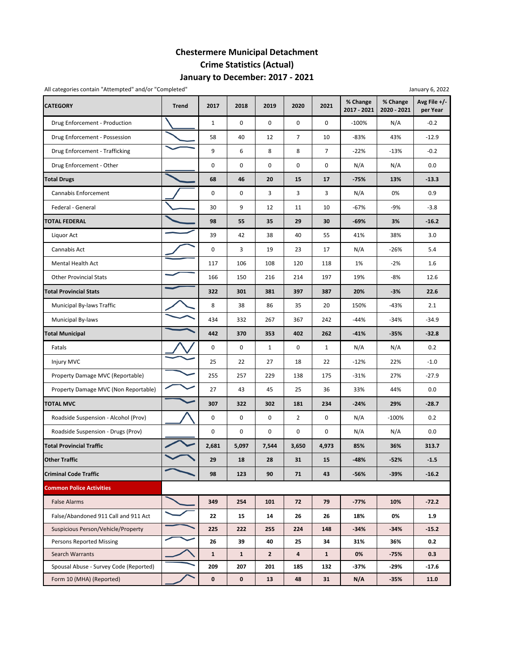## **Chestermere Municipal Detachment Crime Statistics (Actual) January to December: 2017 ‐ 2021**

|                                        | All categories contain "Attempted" and/or "Completed"<br>January 6, 2022 |              |              |                |                         |                |                         |                         |                          |
|----------------------------------------|--------------------------------------------------------------------------|--------------|--------------|----------------|-------------------------|----------------|-------------------------|-------------------------|--------------------------|
| <b>CATEGORY</b>                        | <b>Trend</b>                                                             | 2017         | 2018         | 2019           | 2020                    | 2021           | % Change<br>2017 - 2021 | % Change<br>2020 - 2021 | Avg File +/-<br>per Year |
| Drug Enforcement - Production          |                                                                          | $\mathbf{1}$ | 0            | $\mathbf 0$    | 0                       | 0              | $-100%$                 | N/A                     | $-0.2$                   |
| Drug Enforcement - Possession          |                                                                          | 58           | 40           | 12             | $\overline{7}$          | 10             | $-83%$                  | 43%                     | $-12.9$                  |
| Drug Enforcement - Trafficking         |                                                                          | 9            | 6            | 8              | 8                       | $\overline{7}$ | $-22%$                  | $-13%$                  | $-0.2$                   |
| Drug Enforcement - Other               |                                                                          | 0            | 0            | $\pmb{0}$      | 0                       | 0              | N/A                     | N/A                     | 0.0                      |
| <b>Total Drugs</b>                     |                                                                          | 68           | 46           | 20             | 15                      | 17             | $-75%$                  | 13%                     | $-13.3$                  |
| Cannabis Enforcement                   |                                                                          | 0            | 0            | 3              | 3                       | 3              | N/A                     | 0%                      | 0.9                      |
| Federal - General                      |                                                                          | 30           | 9            | 12             | 11                      | 10             | $-67%$                  | $-9%$                   | $-3.8$                   |
| <b>TOTAL FEDERAL</b>                   |                                                                          | 98           | 55           | 35             | 29                      | 30             | $-69%$                  | 3%                      | $-16.2$                  |
| Liquor Act                             |                                                                          | 39           | 42           | 38             | 40                      | 55             | 41%                     | 38%                     | 3.0                      |
| Cannabis Act                           |                                                                          | $\mathbf 0$  | 3            | 19             | 23                      | 17             | N/A                     | -26%                    | 5.4                      |
| Mental Health Act                      |                                                                          | 117          | 106          | 108            | 120                     | 118            | 1%                      | $-2%$                   | 1.6                      |
| <b>Other Provincial Stats</b>          |                                                                          | 166          | 150          | 216            | 214                     | 197            | 19%                     | -8%                     | 12.6                     |
| <b>Total Provincial Stats</b>          |                                                                          | 322          | 301          | 381            | 397                     | 387            | 20%                     | -3%                     | 22.6                     |
| Municipal By-laws Traffic              |                                                                          | 8            | 38           | 86             | 35                      | 20             | 150%                    | -43%                    | 2.1                      |
| Municipal By-laws                      |                                                                          | 434          | 332          | 267            | 367                     | 242            | $-44%$                  | -34%                    | $-34.9$                  |
| <b>Total Municipal</b>                 |                                                                          | 442          | 370          | 353            | 402                     | 262            | $-41%$                  | $-35%$                  | $-32.8$                  |
| Fatals                                 |                                                                          | 0            | 0            | $\mathbf{1}$   | 0                       | 1              | N/A                     | N/A                     | 0.2                      |
| Injury MVC                             |                                                                          | 25           | 22           | 27             | 18                      | 22             | $-12%$                  | 22%                     | $-1.0$                   |
| Property Damage MVC (Reportable)       |                                                                          | 255          | 257          | 229            | 138                     | 175            | $-31%$                  | 27%                     | $-27.9$                  |
| Property Damage MVC (Non Reportable)   |                                                                          | 27           | 43           | 45             | 25                      | 36             | 33%                     | 44%                     | 0.0                      |
| <b>TOTAL MVC</b>                       |                                                                          | 307          | 322          | 302            | 181                     | 234            | $-24%$                  | 29%                     | $-28.7$                  |
| Roadside Suspension - Alcohol (Prov)   |                                                                          | 0            | 0            | 0              | $\overline{2}$          | 0              | N/A                     | $-100%$                 | 0.2                      |
| Roadside Suspension - Drugs (Prov)     |                                                                          | 0            | 0            | $\mathbf 0$    | 0                       | 0              | N/A                     | N/A                     | 0.0                      |
| <b>Total Provincial Traffic</b>        |                                                                          | 2,681        | 5,097        | 7,544          | 3,650                   | 4,973          | 85%                     | 36%                     | 313.7                    |
| <b>Other Traffic</b>                   |                                                                          | 29           | 18           | 28             | 31                      | 15             | $-48%$                  | -52%                    | $-1.5$                   |
| <b>Criminal Code Traffic</b>           |                                                                          | 98           | 123          | 90             | 71                      | 43             | -56%                    | -39%                    | $-16.2$                  |
| <b>Common Police Activities</b>        |                                                                          |              |              |                |                         |                |                         |                         |                          |
| <b>False Alarms</b>                    |                                                                          | 349          | 254          | 101            | 72                      | 79             | $-77%$                  | 10%                     | $-72.2$                  |
| False/Abandoned 911 Call and 911 Act   |                                                                          | 22           | 15           | 14             | 26                      | 26             | 18%                     | 0%                      | 1.9                      |
| Suspicious Person/Vehicle/Property     |                                                                          | 225          | 222          | 255            | 224                     | 148            | $-34%$                  | $-34%$                  | $-15.2$                  |
| Persons Reported Missing               |                                                                          | 26           | 39           | 40             | 25                      | 34             | 31%                     | 36%                     | 0.2                      |
| Search Warrants                        |                                                                          | $\mathbf{1}$ | $\mathbf{1}$ | $\overline{2}$ | $\overline{\mathbf{4}}$ | $\mathbf{1}$   | 0%                      | $-75%$                  | 0.3                      |
| Spousal Abuse - Survey Code (Reported) |                                                                          | 209          | 207          | 201            | 185                     | 132            | $-37%$                  | -29%                    | -17.6                    |
| Form 10 (MHA) (Reported)               |                                                                          | 0            | 0            | 13             | 48                      | 31             | N/A                     | $-35%$                  | 11.0                     |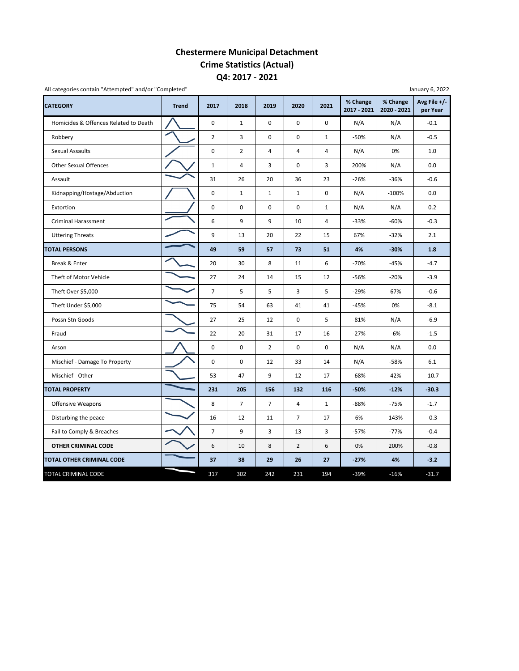### **Chestermere Municipal Detachment Crime Statistics (Actual) Q4: 2017 ‐ 2021**

| <b>CATEGORY</b>                       | <b>Trend</b> | 2017           | 2018           | 2019           | 2020           | 2021           | % Change<br>2017 - 2021 | % Change<br>2020 - 2021 | Avg File +/-<br>per Year |
|---------------------------------------|--------------|----------------|----------------|----------------|----------------|----------------|-------------------------|-------------------------|--------------------------|
| Homicides & Offences Related to Death |              | $\mathbf 0$    | $\mathbf{1}$   | $\mathbf 0$    | 0              | 0              | N/A                     | N/A                     | $-0.1$                   |
| Robbery                               |              | $\overline{2}$ | 3              | $\mathbf 0$    | 0              | $\mathbf{1}$   | $-50%$                  | N/A                     | $-0.5$                   |
| <b>Sexual Assaults</b>                |              | 0              | $\overline{2}$ | $\overline{4}$ | $\overline{4}$ | $\overline{4}$ | N/A                     | 0%                      | 1.0                      |
| <b>Other Sexual Offences</b>          |              | $1\,$          | $\overline{4}$ | 3              | 0              | 3              | 200%                    | N/A                     | 0.0                      |
| Assault                               |              | 31             | 26             | 20             | 36             | 23             | $-26%$                  | $-36%$                  | $-0.6$                   |
| Kidnapping/Hostage/Abduction          |              | 0              | $\mathbf{1}$   | $\mathbf{1}$   | $\mathbf{1}$   | 0              | N/A                     | $-100%$                 | 0.0                      |
| Extortion                             |              | 0              | $\pmb{0}$      | 0              | 0              | $\mathbf{1}$   | N/A                     | N/A                     | 0.2                      |
| <b>Criminal Harassment</b>            |              | 6              | 9              | 9              | 10             | 4              | $-33%$                  | $-60%$                  | $-0.3$                   |
| <b>Uttering Threats</b>               |              | 9              | 13             | 20             | 22             | 15             | 67%                     | $-32%$                  | 2.1                      |
| <b>TOTAL PERSONS</b>                  |              | 49             | 59             | 57             | 73             | 51             | 4%                      | $-30%$                  | 1.8                      |
| Break & Enter                         |              | 20             | 30             | 8              | 11             | 6              | $-70%$                  | $-45%$                  | $-4.7$                   |
| Theft of Motor Vehicle                |              | 27             | 24             | 14             | 15             | 12             | -56%                    | $-20%$                  | $-3.9$                   |
| Theft Over \$5,000                    |              | $\overline{7}$ | 5              | 5              | 3              | 5              | $-29%$                  | 67%                     | $-0.6$                   |
| Theft Under \$5,000                   |              | 75             | 54             | 63             | 41             | 41             | $-45%$                  | 0%                      | $-8.1$                   |
| Possn Stn Goods                       |              | 27             | 25             | 12             | 0              | 5              | $-81%$                  | N/A                     | $-6.9$                   |
| Fraud                                 |              | 22             | 20             | 31             | 17             | 16             | $-27%$                  | $-6%$                   | $-1.5$                   |
| Arson                                 |              | 0              | 0              | 2              | 0              | 0              | N/A                     | N/A                     | 0.0                      |
| Mischief - Damage To Property         |              | 0              | $\mathbf 0$    | 12             | 33             | 14             | N/A                     | $-58%$                  | 6.1                      |
| Mischief - Other                      |              | 53             | 47             | 9              | 12             | 17             | $-68%$                  | 42%                     | $-10.7$                  |
| <b>TOTAL PROPERTY</b>                 |              | 231            | 205            | 156            | 132            | 116            | $-50%$                  | $-12%$                  | $-30.3$                  |
| <b>Offensive Weapons</b>              |              | 8              | $\overline{7}$ | $\overline{7}$ | $\overline{4}$ | $\mathbf{1}$   | $-88%$                  | $-75%$                  | $-1.7$                   |
| Disturbing the peace                  |              | 16             | 12             | 11             | $\overline{7}$ | 17             | 6%                      | 143%                    | $-0.3$                   |
| Fail to Comply & Breaches             |              | $\overline{7}$ | 9              | 3              | 13             | 3              | $-57%$                  | $-77%$                  | $-0.4$                   |
| OTHER CRIMINAL CODE                   |              | 6              | 10             | 8              | $\overline{2}$ | 6              | 0%                      | 200%                    | $-0.8$                   |
| TOTAL OTHER CRIMINAL CODE             |              | 37             | 38             | 29             | 26             | 27             | $-27%$                  | 4%                      | $-3.2$                   |
| TOTAL CRIMINAL CODE                   |              | 317            | 302            | 242            | 231            | 194            | $-39%$                  | $-16%$                  | $-31.7$                  |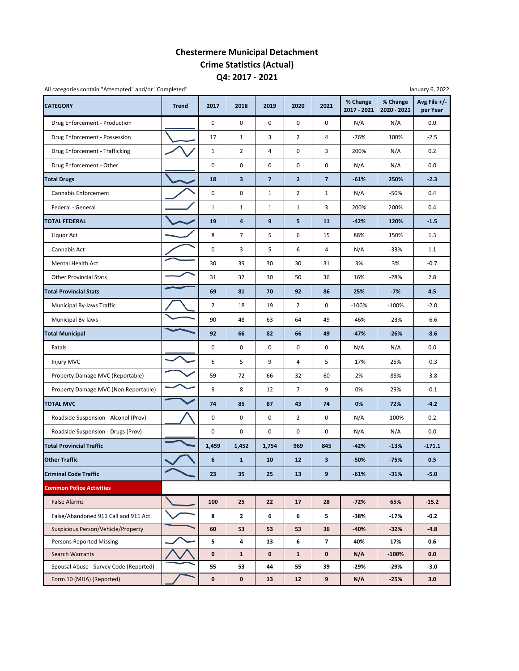### **Chestermere Municipal Detachment Crime Statistics (Actual) Q4: 2017 ‐ 2021**

| All categories contain "Attempted" and/or "Completed" |              |                |                |                |                |                         |                         |                         | January 6, 2022          |
|-------------------------------------------------------|--------------|----------------|----------------|----------------|----------------|-------------------------|-------------------------|-------------------------|--------------------------|
| <b>CATEGORY</b>                                       | <b>Trend</b> | 2017           | 2018           | 2019           | 2020           | 2021                    | % Change<br>2017 - 2021 | % Change<br>2020 - 2021 | Avg File +/-<br>per Year |
| Drug Enforcement - Production                         |              | 0              | 0              | $\pmb{0}$      | 0              | $\mathbf 0$             | N/A                     | N/A                     | 0.0                      |
| Drug Enforcement - Possession                         |              | 17             | $\mathbf{1}$   | 3              | $\overline{2}$ | 4                       | $-76%$                  | 100%                    | $-2.5$                   |
| Drug Enforcement - Trafficking                        |              | $\mathbf{1}$   | 2              | 4              | 0              | 3                       | 200%                    | N/A                     | 0.2                      |
| Drug Enforcement - Other                              |              | 0              | 0              | $\pmb{0}$      | 0              | 0                       | N/A                     | N/A                     | 0.0                      |
| <b>Total Drugs</b>                                    |              | 18             | 3              | $\overline{7}$ | $\overline{2}$ | $\overline{\mathbf{z}}$ | $-61%$                  | 250%                    | $-2.3$                   |
| Cannabis Enforcement                                  |              | 0              | 0              | $\mathbf{1}$   | $\overline{2}$ | $\mathbf{1}$            | N/A                     | -50%                    | 0.4                      |
| Federal - General                                     |              | $\mathbf{1}$   | $\mathbf{1}$   | $1\,$          | $\mathbf{1}$   | 3                       | 200%                    | 200%                    | 0.4                      |
| <b>TOTAL FEDERAL</b>                                  |              | 19             | 4              | 9              | 5              | 11                      | $-42%$                  | 120%                    | $-1.5$                   |
| Liquor Act                                            |              | 8              | $\overline{7}$ | 5              | 6              | 15                      | 88%                     | 150%                    | 1.3                      |
| Cannabis Act                                          |              | 0              | 3              | 5              | 6              | 4                       | N/A                     | $-33%$                  | 1.1                      |
| <b>Mental Health Act</b>                              |              | 30             | 39             | 30             | 30             | 31                      | 3%                      | 3%                      | $-0.7$                   |
| <b>Other Provincial Stats</b>                         |              | 31             | 32             | 30             | 50             | 36                      | 16%                     | $-28%$                  | 2.8                      |
| <b>Total Provincial Stats</b>                         |              | 69             | 81             | 70             | 92             | 86                      | 25%                     | $-7%$                   | 4.5                      |
| Municipal By-laws Traffic                             |              | $\overline{2}$ | 18             | 19             | $\overline{2}$ | 0                       | $-100%$                 | $-100%$                 | $-2.0$                   |
| Municipal By-laws                                     |              | 90             | 48             | 63             | 64             | 49                      | $-46%$                  | $-23%$                  | $-6.6$                   |
| <b>Total Municipal</b>                                |              | 92             | 66             | 82             | 66             | 49                      | $-47%$                  | $-26%$                  | $-8.6$                   |
| Fatals                                                |              | 0              | 0              | $\mathbf 0$    | 0              | $\mathbf 0$             | N/A                     | N/A                     | 0.0                      |
| Injury MVC                                            |              | 6              | 5              | 9              | 4              | 5                       | $-17%$                  | 25%                     | $-0.3$                   |
| Property Damage MVC (Reportable)                      |              | 59             | 72             | 66             | 32             | 60                      | 2%                      | 88%                     | $-3.8$                   |
| Property Damage MVC (Non Reportable)                  |              | 9              | 8              | 12             | $\overline{7}$ | 9                       | 0%                      | 29%                     | $-0.1$                   |
| <b>TOTAL MVC</b>                                      |              | 74             | 85             | 87             | 43             | 74                      | 0%                      | 72%                     | $-4.2$                   |
| Roadside Suspension - Alcohol (Prov)                  |              | 0              | 0              | $\pmb{0}$      | $\overline{2}$ | 0                       | N/A                     | $-100%$                 | 0.2                      |
| Roadside Suspension - Drugs (Prov)                    |              | 0              | 0              | $\pmb{0}$      | 0              | 0                       | N/A                     | N/A                     | 0.0                      |
| <b>Total Provincial Traffic</b>                       |              | 1,459          | 1,452          | 1,754          | 969            | 845                     | $-42%$                  | $-13%$                  | $-171.1$                 |
| <b>Other Traffic</b>                                  |              | 6              | $\mathbf{1}$   | 10             | 12             | 3                       | -50%                    | $-75%$                  | 0.5                      |
| <b>Criminal Code Traffic</b>                          |              | 23             | 35             | 25             | 13             | 9                       | $-61%$                  | $-31%$                  | $-5.0$                   |
| <b>Common Police Activities</b>                       |              |                |                |                |                |                         |                         |                         |                          |
| <b>False Alarms</b>                                   |              | 100            | 25             | 22             | 17             | 28                      | $-72%$                  | 65%                     | $-15.2$                  |
| False/Abandoned 911 Call and 911 Act                  |              | 8              | $\mathbf{2}$   | 6              | 6              | 5                       | -38%                    | $-17%$                  | $-0.2$                   |
| Suspicious Person/Vehicle/Property                    |              | 60             | 53             | 53             | 53             | 36                      | -40%                    | $-32%$                  | $-4.8$                   |
| <b>Persons Reported Missing</b>                       |              | 5              | 4              | 13             | 6              | $\overline{\mathbf{z}}$ | 40%                     | 17%                     | 0.6                      |
| Search Warrants                                       |              | $\pmb{0}$      | $\mathbf{1}$   | 0              | $\mathbf{1}$   | 0                       | N/A                     | $-100%$                 | 0.0                      |
| Spousal Abuse - Survey Code (Reported)                |              | 55             | 53             | 44             | 55             | 39                      | -29%                    | -29%                    | -3.0                     |
| Form 10 (MHA) (Reported)                              |              | $\pmb{0}$      | 0              | 13             | 12             | 9                       | N/A                     | $-25%$                  | 3.0                      |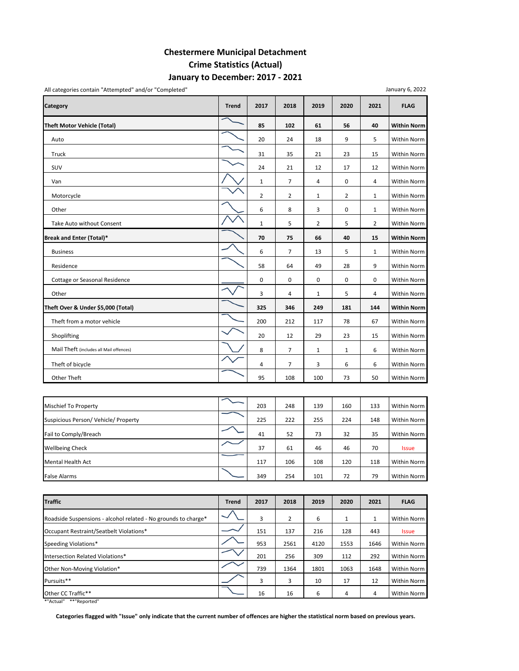#### **Chestermere Municipal Detachment Crime Statistics (Actual) January to December: 2017 ‐ 2021**

| All categories contain "Attempted" and/or "Completed" |              |                |                |                |                |                | January 6, 2022    |
|-------------------------------------------------------|--------------|----------------|----------------|----------------|----------------|----------------|--------------------|
| Category                                              | <b>Trend</b> | 2017           | 2018           | 2019           | 2020           | 2021           | <b>FLAG</b>        |
| <b>Theft Motor Vehicle (Total)</b>                    |              | 85             | 102            | 61             | 56             | 40             | <b>Within Norm</b> |
| Auto                                                  |              | 20             | 24             | 18             | 9              | 5              | Within Norm        |
| Truck                                                 |              | 31             | 35             | 21             | 23             | 15             | Within Norm        |
| SUV                                                   |              | 24             | 21             | 12             | 17             | 12             | Within Norm        |
| Van                                                   |              | $\mathbf{1}$   | $\overline{7}$ | 4              | 0              | 4              | Within Norm        |
| Motorcycle                                            |              | $\overline{2}$ | 2              | $\mathbf{1}$   | $\overline{2}$ | $\mathbf{1}$   | Within Norm        |
| Other                                                 |              | 6              | 8              | 3              | 0              | 1              | Within Norm        |
| Take Auto without Consent                             |              | $\mathbf 1$    | 5              | $\overline{2}$ | 5              | $\overline{2}$ | Within Norm        |
| Break and Enter (Total)*                              |              | 70             | 75             | 66             | 40             | 15             | <b>Within Norm</b> |
| <b>Business</b>                                       |              | 6              | $\overline{7}$ | 13             | 5              | $\mathbf{1}$   | Within Norm        |
| Residence                                             |              | 58             | 64             | 49             | 28             | 9              | Within Norm        |
| Cottage or Seasonal Residence                         |              | $\mathbf 0$    | 0              | 0              | 0              | $\mathbf 0$    | Within Norm        |
| Other                                                 |              | 3              | 4              | $\mathbf{1}$   | 5              | 4              | Within Norm        |
| Theft Over & Under \$5,000 (Total)                    |              | 325            | 346            | 249            | 181            | 144            | <b>Within Norm</b> |
| Theft from a motor vehicle                            |              | 200            | 212            | 117            | 78             | 67             | Within Norm        |
| Shoplifting                                           |              | 20             | 12             | 29             | 23             | 15             | Within Norm        |
| Mail Theft (includes all Mail offences)               |              | 8              | $\overline{7}$ | $\mathbf{1}$   | $\mathbf{1}$   | 6              | Within Norm        |
| Theft of bicycle                                      |              | 4              | 7              | 3              | 6              | 6              | Within Norm        |
| Other Theft                                           |              | 95             | 108            | 100            | 73             | 50             | Within Norm        |

Mischief To Property 200 203 248 139 160 133 Within Norm Suspicious Person/ Vehicle/ Property 225 222 255 224 148 Within Norm Fail to Comply/Breach 41 52 73 32 35 Within Norm Wellbeing Check 37 61 46 46 70 Issue Mental Health Act 117 106 108 120 118 Within Norm False Alarms 349 254 | 101 | 72 | 79 | Within Norm

| <b>Traffic</b>                                                 | <b>Trend</b> | 2017 | 2018           | 2019 | 2020 | 2021 | <b>FLAG</b>  |
|----------------------------------------------------------------|--------------|------|----------------|------|------|------|--------------|
| Roadside Suspensions - alcohol related - No grounds to charge* |              | 3    | $\overline{2}$ | 6    |      | 1    | Within Norm  |
| Occupant Restraint/Seatbelt Violations*                        |              | 151  | 137            | 216  | 128  | 443  | <b>Issue</b> |
| Speeding Violations*                                           |              | 953  | 2561           | 4120 | 1553 | 1646 | Within Norm  |
| Intersection Related Violations*                               |              | 201  | 256            | 309  | 112  | 292  | Within Norm  |
| Other Non-Moving Violation*                                    |              | 739  | 1364           | 1801 | 1063 | 1648 | Within Norm  |
| Pursuits**                                                     |              | 3    | 3              | 10   | 17   | 12   | Within Norm  |
| Other CC Traffic**                                             |              | 16   | 16             | 6    | 4    | 4    | Within Norm  |

\*"Actual" \*\*"Reported"

Categories flagged with "Issue" only indicate that the current number of offences are higher the statistical norm based on previous years.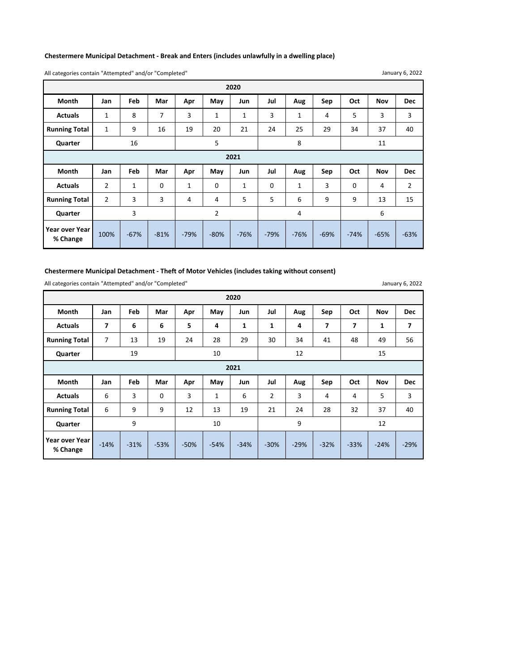#### **Chestermere Municipal Detachment ‐ Break and Enters (includes unlawfully in a dwelling place)**

All categories contain "Attempted" and/or "Completed"

|                      |              |              |     |     |     | 2020         |     |     |     |     |            |            |
|----------------------|--------------|--------------|-----|-----|-----|--------------|-----|-----|-----|-----|------------|------------|
| <b>Month</b>         | Jan          | Feb          | Mar | Apr | May | Jun          | Jul | Aug | Sep | Oct | <b>Nov</b> | <b>Dec</b> |
| <b>Actuals</b>       | 1            | 8            | 7   | 3   | 1   | $\mathbf{1}$ | 3   | 1   | 4   | 5   | 3          | 3          |
| <b>Running Total</b> | $\mathbf{1}$ | 9            | 16  | 19  | 20  | 21           | 24  | 25  | 29  | 34  | 37         | 40         |
| Quarter              |              | 16           |     |     | 5   |              |     | 8   |     |     | 11         |            |
| 2021                 |              |              |     |     |     |              |     |     |     |     |            |            |
| <b>Month</b>         | Jan          | Feb          | Mar | Apr | May | Jun          | Jul | Aug | Sep | Oct | <b>Nov</b> | <b>Dec</b> |
| <b>Actuals</b>       | 2            | $\mathbf{1}$ | 0   | 1   | 0   | $\mathbf{1}$ | 0   | 1   | 3   | 0   | 4          | 2          |
| <b>Running Total</b> |              |              |     |     |     |              |     |     |     |     |            |            |
|                      | 2            | 3            | 3   | 4   | 4   | 5            | 5   | 6   | 9   | 9   | 13         | 15         |
| Quarter              |              | 3            |     |     | 2   |              |     | 4   |     |     | 6          |            |

January 6, 2022

January 6, 2022

#### **Chestermere Municipal Detachment ‐ Theft of Motor Vehicles (includes taking without consent)**

All categories contain "Attempted" and/or "Completed"

**Month Jan Feb Mar Apr May Jun Jul Aug Sep Oct Nov Dec** Actuals | 7 | 6 | 6 | 5 | 4 | 1 | 1 | 4 | 7 | 7 | 1 | 7 **Running Total** 7 13 19 24 28 29 30 34 41 48 49 56 **Quarter Month Jan Feb Mar Apr May Jun Jul Aug Sep Oct Nov Dec** Actuals | 6 | 3 | 0 | 3 | 1 | 6 | 2 | 3 | 4 | 4 | 5 | 3 **Running Total** 6 9 9 9 12 13 19 21 24 28 32 37 40 **Quarter 2020** 19 10 12 12 15 ‐54% **2021** 9 | 10 | 9 | 12 ‐34% ‐30% ‐29% ‐32% ‐33% ‐24% ‐29% **Year over Year Year over Year Fig. 14%** -31% -53% -50%